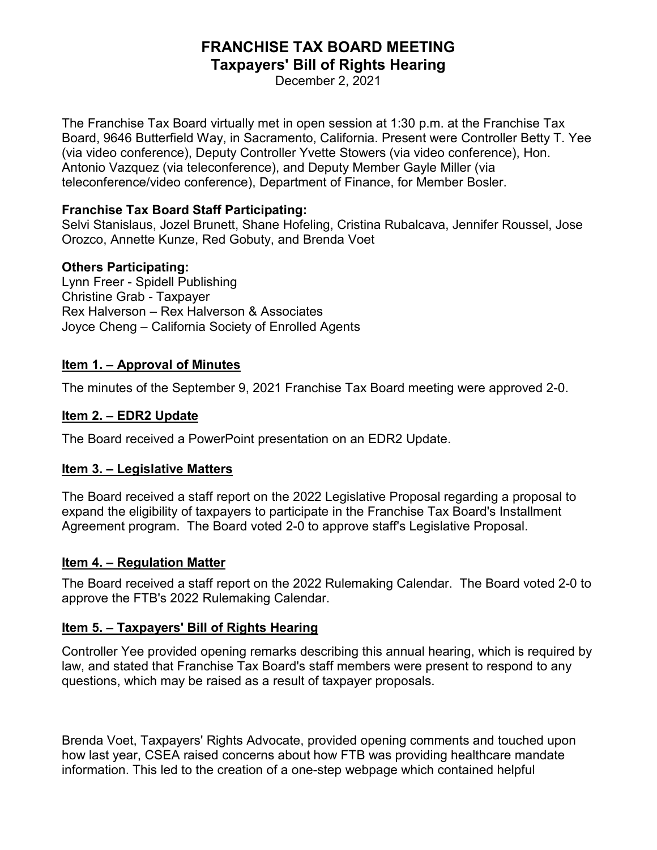# **FRANCHISE TAX BOARD MEETING Taxpayers' Bill of Rights Hearing**

December 2, 2021

The Franchise Tax Board virtually met in open session at 1:30 p.m. at the Franchise Tax Board, 9646 Butterfield Way, in Sacramento, California. Present were Controller Betty T. Yee (via video conference), Deputy Controller Yvette Stowers (via video conference), Hon. Antonio Vazquez (via teleconference), and Deputy Member Gayle Miller (via teleconference/video conference), Department of Finance, for Member Bosler.

#### **Franchise Tax Board Staff Participating:**

Selvi Stanislaus, Jozel Brunett, Shane Hofeling, Cristina Rubalcava, Jennifer Roussel, Jose Orozco, Annette Kunze, Red Gobuty, and Brenda Voet

## **Others Participating:**

Lynn Freer - Spidell Publishing Christine Grab - Taxpayer Rex Halverson – Rex Halverson & Associates Joyce Cheng – California Society of Enrolled Agents

## **Item 1. – Approval of Minutes**

The minutes of the September 9, 2021 Franchise Tax Board meeting were approved 2-0.

# **Item 2. – EDR2 Update**

The Board received a PowerPoint presentation on an EDR2 Update.

#### **Item 3. – Legislative Matters**

The Board received a staff report on the 2022 Legislative Proposal regarding a proposal to expand the eligibility of taxpayers to participate in the Franchise Tax Board's Installment Agreement program. The Board voted 2-0 to approve staff's Legislative Proposal.

# **Item 4. – Regulation Matter**

The Board received a staff report on the 2022 Rulemaking Calendar. The Board voted 2-0 to approve the FTB's 2022 Rulemaking Calendar.

# **Item 5. – Taxpayers' Bill of Rights Hearing**

Controller Yee provided opening remarks describing this annual hearing, which is required by law, and stated that Franchise Tax Board's staff members were present to respond to any questions, which may be raised as a result of taxpayer proposals.

Brenda Voet, Taxpayers' Rights Advocate, provided opening comments and touched upon how last year, CSEA raised concerns about how FTB was providing healthcare mandate information. This led to the creation of a one-step webpage which contained helpful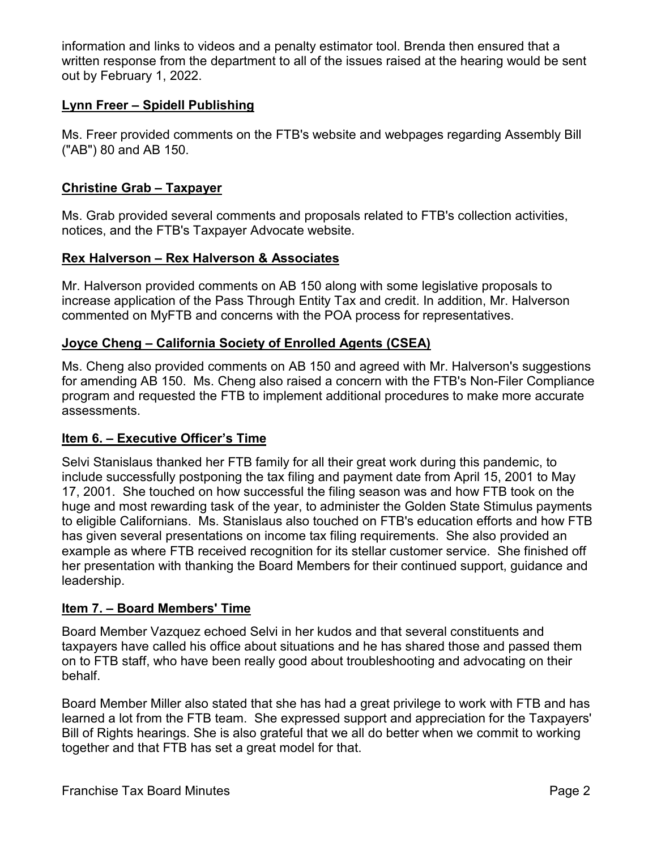information and links to videos and a penalty estimator tool. Brenda then ensured that a written response from the department to all of the issues raised at the hearing would be sent out by February 1, 2022.

## **Lynn Freer – Spidell Publishing**

Ms. Freer provided comments on the FTB's website and webpages regarding Assembly Bill ("AB") 80 and AB 150.

## **Christine Grab – Taxpayer**

Ms. Grab provided several comments and proposals related to FTB's collection activities, notices, and the FTB's Taxpayer Advocate website.

## **Rex Halverson – Rex Halverson & Associates**

Mr. Halverson provided comments on AB 150 along with some legislative proposals to increase application of the Pass Through Entity Tax and credit. In addition, Mr. Halverson commented on MyFTB and concerns with the POA process for representatives.

## **Joyce Cheng – California Society of Enrolled Agents (CSEA)**

Ms. Cheng also provided comments on AB 150 and agreed with Mr. Halverson's suggestions for amending AB 150. Ms. Cheng also raised a concern with the FTB's Non-Filer Compliance program and requested the FTB to implement additional procedures to make more accurate assessments.

#### **Item 6. – Executive Officer's Time**

Selvi Stanislaus thanked her FTB family for all their great work during this pandemic, to include successfully postponing the tax filing and payment date from April 15, 2001 to May 17, 2001. She touched on how successful the filing season was and how FTB took on the huge and most rewarding task of the year, to administer the Golden State Stimulus payments to eligible Californians. Ms. Stanislaus also touched on FTB's education efforts and how FTB has given several presentations on income tax filing requirements. She also provided an example as where FTB received recognition for its stellar customer service. She finished off her presentation with thanking the Board Members for their continued support, guidance and leadership.

#### **Item 7. – Board Members' Time**

Board Member Vazquez echoed Selvi in her kudos and that several constituents and taxpayers have called his office about situations and he has shared those and passed them on to FTB staff, who have been really good about troubleshooting and advocating on their behalf.

Board Member Miller also stated that she has had a great privilege to work with FTB and has learned a lot from the FTB team. She expressed support and appreciation for the Taxpayers' Bill of Rights hearings. She is also grateful that we all do better when we commit to working together and that FTB has set a great model for that.